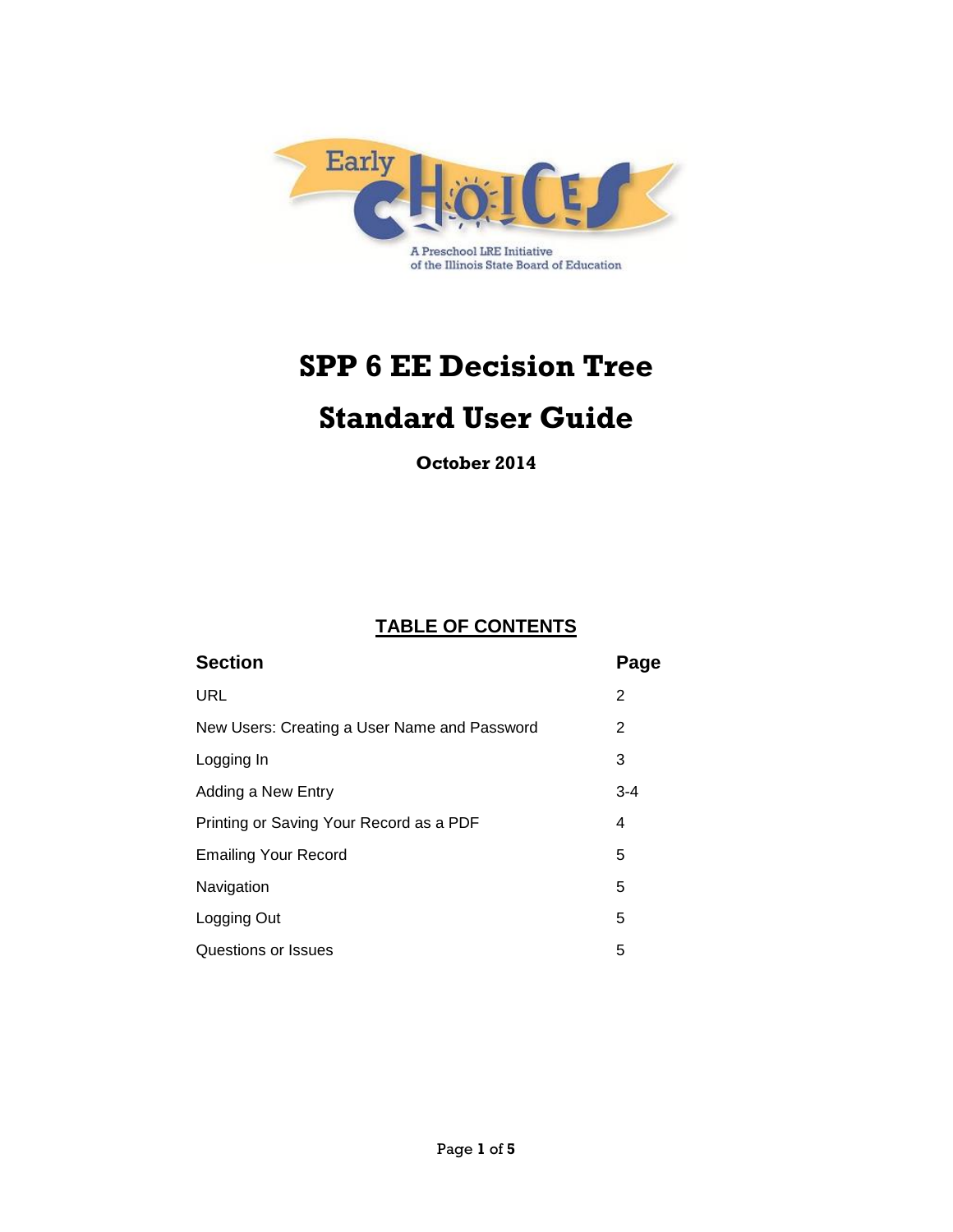

# **SPP 6 EE Decision Tree**

## **Standard User Guide**

**October 2014**

### **TABLE OF CONTENTS**

| <b>Section</b>                               | Page    |
|----------------------------------------------|---------|
| <b>URL</b>                                   | 2       |
| New Users: Creating a User Name and Password | 2       |
| Logging In                                   | 3       |
| Adding a New Entry                           | $3 - 4$ |
| Printing or Saving Your Record as a PDF      | 4       |
| <b>Emailing Your Record</b>                  | 5       |
| Navigation                                   | 5       |
| Logging Out                                  | 5       |
| Questions or Issues                          | 5       |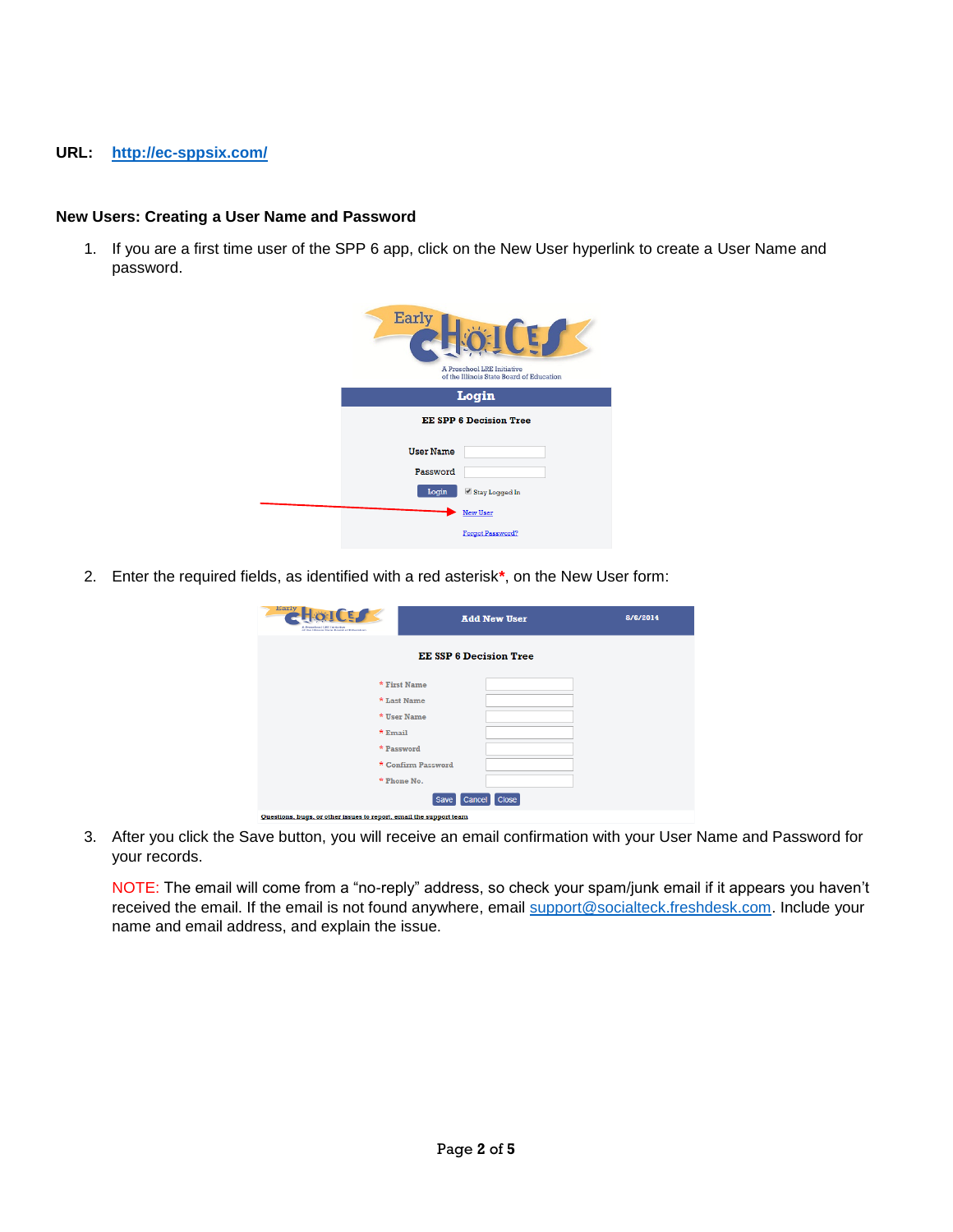#### **URL: <http://ec-sppsix.com/>**

#### **New Users: Creating a User Name and Password**

1. If you are a first time user of the SPP 6 app, click on the New User hyperlink to create a User Name and password.

| Early                         | A Preschool LRE Initiative<br>of the Illinois State Board of Education |  |
|-------------------------------|------------------------------------------------------------------------|--|
|                               | Login                                                                  |  |
| <b>EE SPP 6 Decision Tree</b> |                                                                        |  |
| <b>User Name</b>              |                                                                        |  |
| Password                      |                                                                        |  |
| Login                         | Stay Logged In                                                         |  |
|                               | <b>New User</b>                                                        |  |
|                               | Forgot Password?                                                       |  |

2. Enter the required fields, as identified with a red asterisk**\***, on the New User form:

| Early<br><b>CET</b><br>A Preschool LRE Initiative<br>of the Elizois State Doard of Education | <b>Add New User</b>           | 8/6/2014 |
|----------------------------------------------------------------------------------------------|-------------------------------|----------|
|                                                                                              | <b>EE SSP 6 Decision Tree</b> |          |
|                                                                                              | * First Name                  |          |
|                                                                                              | * Last Name                   |          |
|                                                                                              | * User Name                   |          |
| * Email                                                                                      |                               |          |
|                                                                                              | * Password                    |          |
|                                                                                              | * Confirm Password            |          |
|                                                                                              | * Phone No.                   |          |
|                                                                                              | Close<br>Cancel<br>Save       |          |
| Questions, bugs, or other issues to report, email the support team                           |                               |          |

3. After you click the Save button, you will receive an email confirmation with your User Name and Password for your records.

NOTE: The email will come from a "no-reply" address, so check your spam/junk email if it appears you haven't received the email. If the email is not found anywhere, email [support@socialteck.freshdesk.com.](mailto:support@socialteck.freshdesk.com) Include your name and email address, and explain the issue.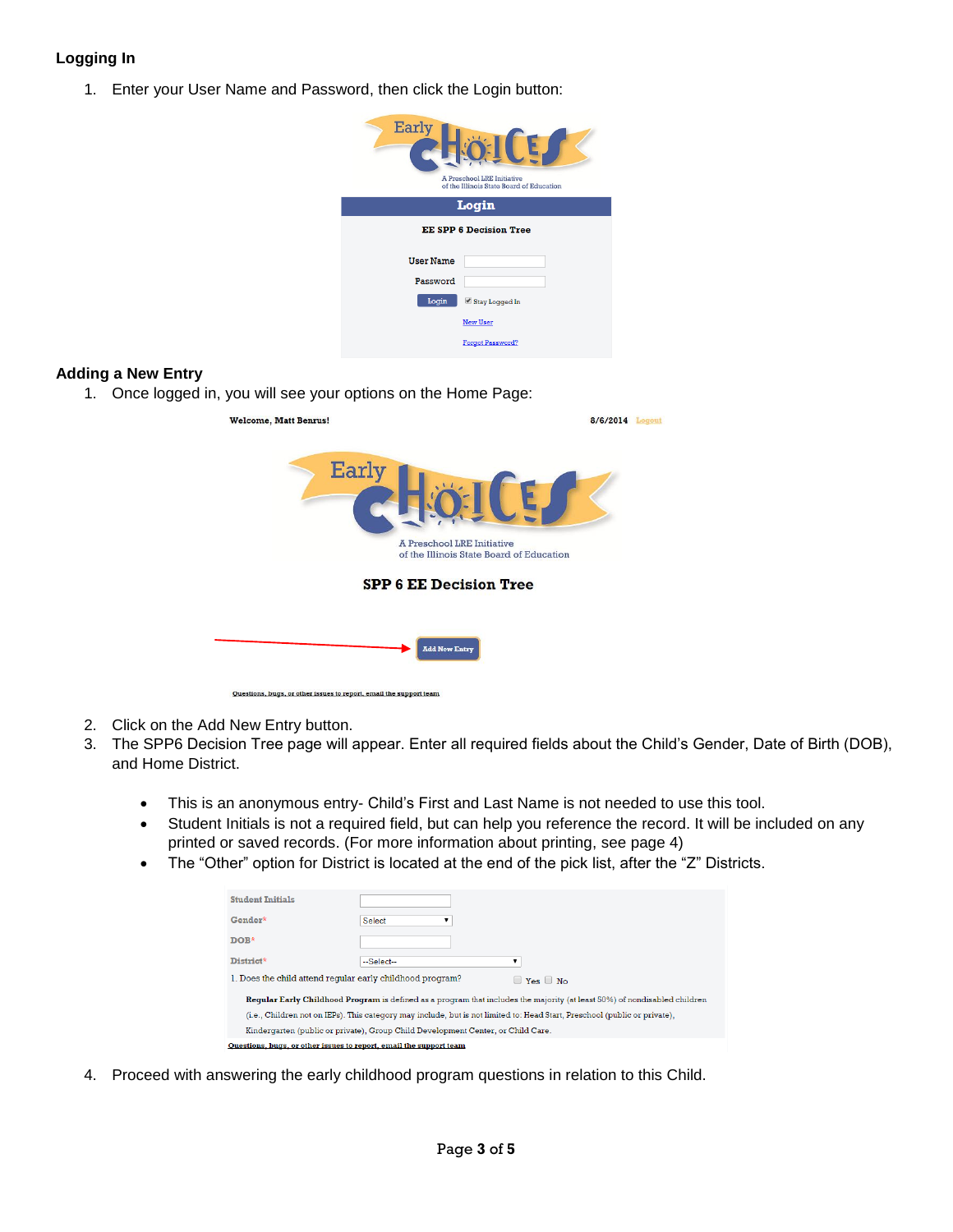#### **Logging In**

1. Enter your User Name and Password, then click the Login button:

| <b>Early</b>                  | A Preschool LRE Initiative<br>of the Illinois State Board of Education |  |  |
|-------------------------------|------------------------------------------------------------------------|--|--|
|                               | Login                                                                  |  |  |
| <b>EE SPP 6 Decision Tree</b> |                                                                        |  |  |
| <b>User Name</b>              |                                                                        |  |  |
| Password                      |                                                                        |  |  |
| Login                         | Stay Logged In                                                         |  |  |
|                               | <b>New User</b>                                                        |  |  |
|                               | Forgot Password?                                                       |  |  |

#### **Adding a New Entry**

1. Once logged in, you will see your options on the Home Page:

| <b>Welcome, Matt Benrus!</b>                                           | 8/6/2014 | Logout |
|------------------------------------------------------------------------|----------|--------|
| <b>Early</b>                                                           |          |        |
| A Preschool LRE Initiative<br>of the Illinois State Board of Education |          |        |
| <b>SPP 6 EE Decision Tree</b>                                          |          |        |
|                                                                        |          |        |
| <b>Add New Entry</b>                                                   |          |        |

- 2. Click on the Add New Entry button.
- 3. The SPP6 Decision Tree page will appear. Enter all required fields about the Child's Gender, Date of Birth (DOB), and Home District.
	- This is an anonymous entry- Child's First and Last Name is not needed to use this tool.
	- Student Initials is not a required field, but can help you reference the record. It will be included on any printed or saved records. (For more information about printing, see page 4)
	- The "Other" option for District is located at the end of the pick list, after the "Z" Districts.

| <b>Student Initials</b>                                                                                                    |               |                      |  |
|----------------------------------------------------------------------------------------------------------------------------|---------------|----------------------|--|
| Gender*                                                                                                                    | <b>Select</b> |                      |  |
| DOR*                                                                                                                       |               |                      |  |
| District*                                                                                                                  | --Select--    |                      |  |
| 1. Does the child attend reqular early childhood program?                                                                  |               | $\Box$ Yes $\Box$ No |  |
| Reqular Early Childhood Program is defined as a program that includes the majority (at least 50%) of nondisabled children  |               |                      |  |
| (i.e., Children not on IEPs). This category may include, but is not limited to: Head Start, Preschool (public or private), |               |                      |  |
| Kindergarten (public or private), Group Child Development Center, or Child Care.                                           |               |                      |  |
| Questions, bugs, or other issues to report, email the support team                                                         |               |                      |  |

4. Proceed with answering the early childhood program questions in relation to this Child.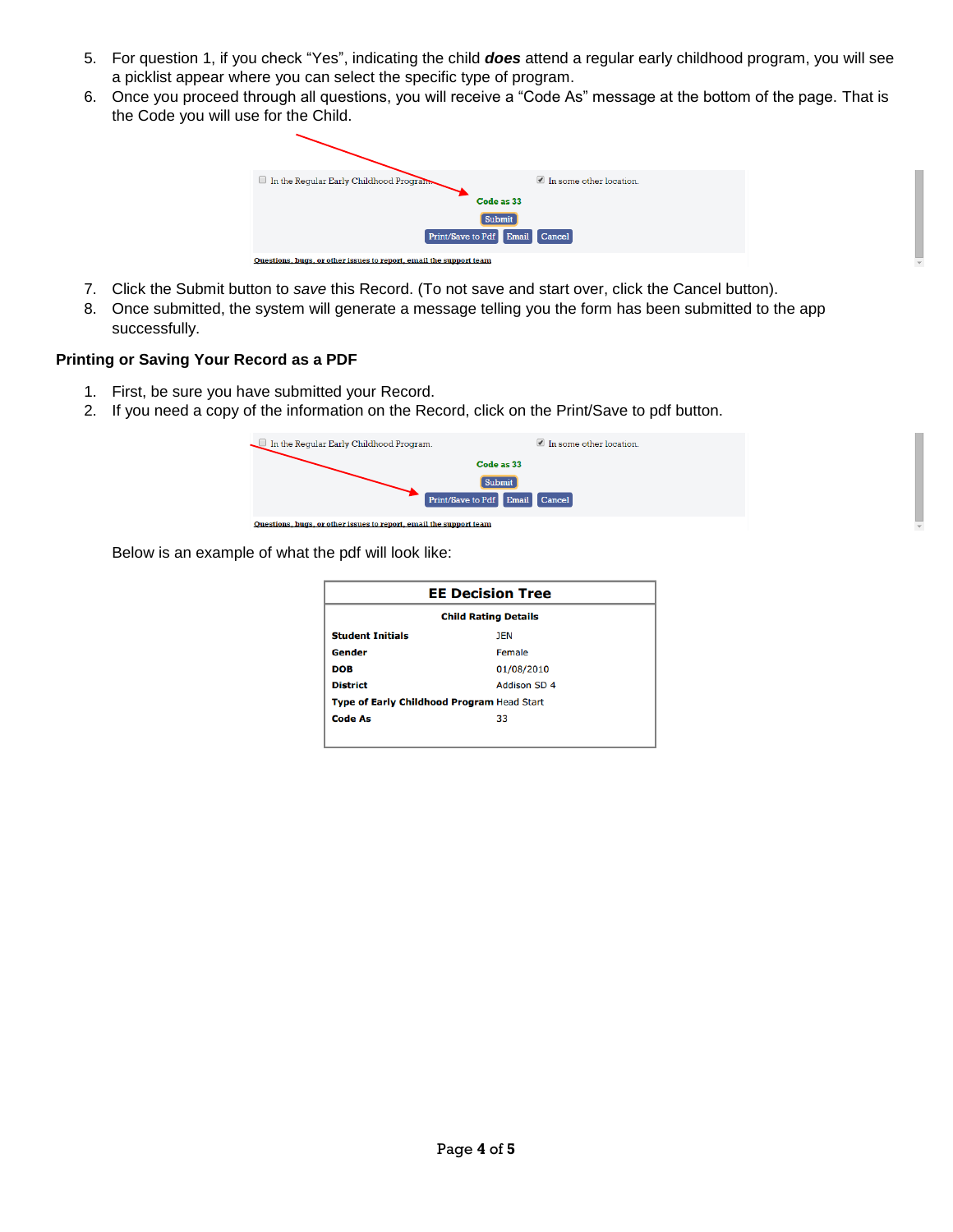- 5. For question 1, if you check "Yes", indicating the child *does* attend a regular early childhood program, you will see a picklist appear where you can select the specific type of program.
- 6. Once you proceed through all questions, you will receive a "Code As" message at the bottom of the page. That is the Code you will use for the Child.



- 7. Click the Submit button to *save* this Record. (To not save and start over, click the Cancel button).
- 8. Once submitted, the system will generate a message telling you the form has been submitted to the app successfully.

#### **Printing or Saving Your Record as a PDF**

- 1. First, be sure you have submitted your Record.
- 2. If you need a copy of the information on the Record, click on the Print/Save to pdf button.



Below is an example of what the pdf will look like:

| <b>EE Decision Tree</b>                    |                     |  |  |
|--------------------------------------------|---------------------|--|--|
| <b>Child Rating Details</b>                |                     |  |  |
| <b>Student Initials</b>                    | <b>JEN</b>          |  |  |
| Gender                                     | Female              |  |  |
| <b>DOB</b>                                 | 01/08/2010          |  |  |
| <b>District</b>                            | <b>Addison SD 4</b> |  |  |
| Type of Early Childhood Program Head Start |                     |  |  |
| <b>Code As</b>                             | 33                  |  |  |
|                                            |                     |  |  |